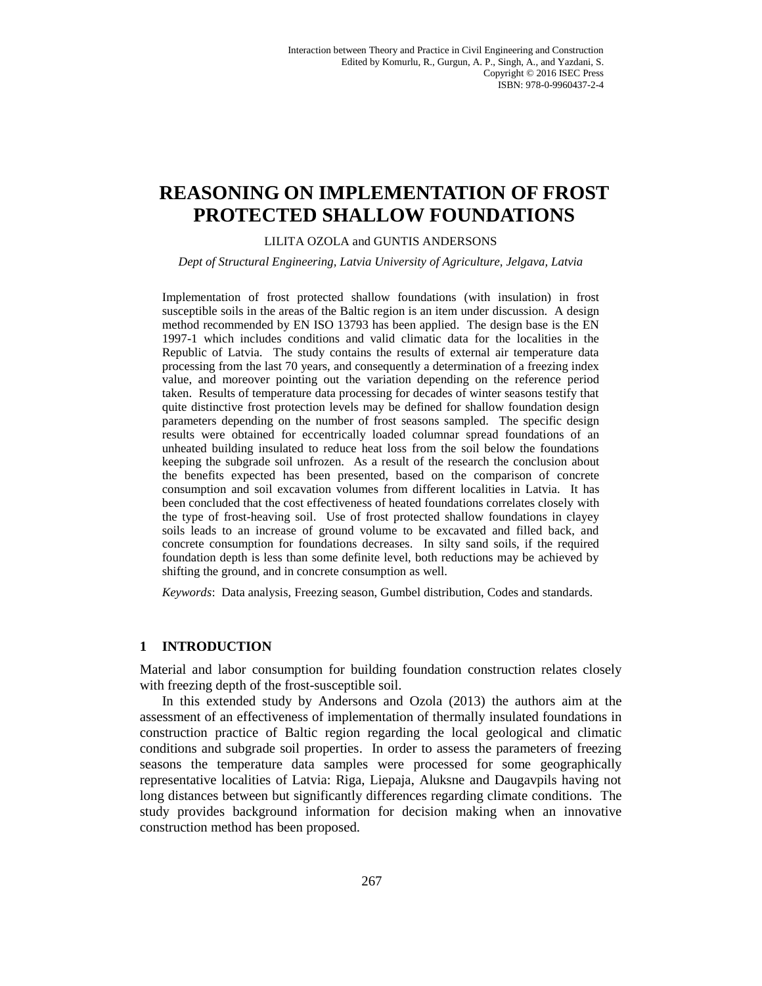# **REASONING ON IMPLEMENTATION OF FROST PROTECTED SHALLOW FOUNDATIONS**

#### LILITA OZOLA and GUNTIS ANDERSONS

*Dept of Structural Engineering, Latvia University of Agriculture, Jelgava, Latvia*

Implementation of frost protected shallow foundations (with insulation) in frost susceptible soils in the areas of the Baltic region is an item under discussion. A design method recommended by EN ISO 13793 has been applied. The design base is the EN 1997-1 which includes conditions and valid climatic data for the localities in the Republic of Latvia. The study contains the results of external air temperature data processing from the last 70 years, and consequently a determination of a freezing index value, and moreover pointing out the variation depending on the reference period taken. Results of temperature data processing for decades of winter seasons testify that quite distinctive frost protection levels may be defined for shallow foundation design parameters depending on the number of frost seasons sampled. The specific design results were obtained for eccentrically loaded columnar spread foundations of an unheated building insulated to reduce heat loss from the soil below the foundations keeping the subgrade soil unfrozen. As a result of the research the conclusion about the benefits expected has been presented, based on the comparison of concrete consumption and soil excavation volumes from different localities in Latvia. It has been concluded that the cost effectiveness of heated foundations correlates closely with the type of frost-heaving soil. Use of frost protected shallow foundations in clayey soils leads to an increase of ground volume to be excavated and filled back, and concrete consumption for foundations decreases. In silty sand soils, if the required foundation depth is less than some definite level, both reductions may be achieved by shifting the ground, and in concrete consumption as well.

*Keywords*: Data analysis, Freezing season, Gumbel distribution, Codes and standards.

#### **1 INTRODUCTION**

Material and labor consumption for building foundation construction relates closely with freezing depth of the frost-susceptible soil.

In this extended study by Andersons and Ozola (2013) the authors aim at the assessment of an effectiveness of implementation of thermally insulated foundations in construction practice of Baltic region regarding the local geological and climatic conditions and subgrade soil properties. In order to assess the parameters of freezing seasons the temperature data samples were processed for some geographically representative localities of Latvia: Riga, Liepaja, Aluksne and Daugavpils having not long distances between but significantly differences regarding climate conditions. The study provides background information for decision making when an innovative construction method has been proposed.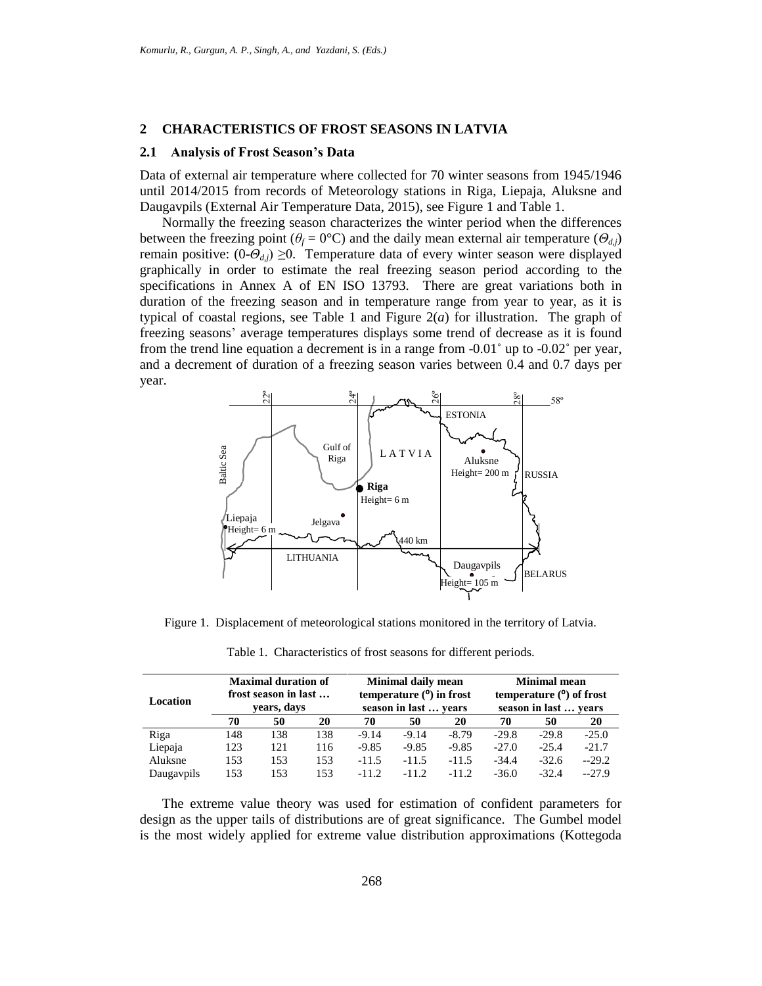#### **2 CHARACTERISTICS OF FROST SEASONS IN LATVIA**

#### **2.1 Analysis of Frost Season's Data**

Data of external air temperature where collected for 70 winter seasons from 1945/1946 until 2014/2015 from records of Meteorology stations in Riga, Liepaja, Aluksne and Daugavpils (External Air Temperature Data, 2015), see Figure 1 and Table 1.

Normally the freezing season characterizes the winter period when the differences between the freezing point ( $\theta_f = 0^\circ \text{C}$ ) and the daily mean external air temperature ( $\theta_{d,i}$ ) remain positive:  $(0-\theta_{d,i}) \geq 0$ . Temperature data of every winter season were displayed graphically in order to estimate the real freezing season period according to the specifications in Annex A of EN ISO 13793. There are great variations both in duration of the freezing season and in temperature range from year to year, as it is typical of coastal regions, see Table 1 and Figure  $2(a)$  for illustration. The graph of freezing seasons' average temperatures displays some trend of decrease as it is found from the trend line equation a decrement is in a range from -0.01˚ up to -0.02˚ per year, and a decrement of duration of a freezing season varies between 0.4 and 0.7 days per year.



Figure 1. Displacement of meteorological stations monitored in the territory of Latvia.

Table 1. Characteristics of frost seasons for different periods.

| Location   | <b>Maximal duration of</b><br>frost season in last<br>years, days |     |     | Minimal daily mean<br>temperature $(°)$ in frost<br>season in last  vears |         |         | <b>Minimal mean</b><br>temperature $(°)$ of frost<br>season in last  years |         |         |
|------------|-------------------------------------------------------------------|-----|-----|---------------------------------------------------------------------------|---------|---------|----------------------------------------------------------------------------|---------|---------|
|            |                                                                   |     |     |                                                                           |         |         |                                                                            |         |         |
|            | Riga                                                              | 148 | 138 | 138                                                                       | $-9.14$ | $-9.14$ | $-8.79$                                                                    | $-29.8$ | $-29.8$ |
| Liepaja    | 123                                                               | 121 | 116 | $-9.85$                                                                   | $-9.85$ | $-9.85$ | $-27.0$                                                                    | $-25.4$ | $-21.7$ |
| Aluksne    | 153                                                               | 153 | 153 | $-11.5$                                                                   | $-11.5$ | $-11.5$ | $-34.4$                                                                    | $-32.6$ | $-29.2$ |
| Daugaypils | 153                                                               | 153 | 153 | $-11.2$                                                                   | $-11.2$ | $-11.2$ | $-36.0$                                                                    | $-32.4$ | $-27.9$ |

The extreme value theory was used for estimation of confident parameters for design as the upper tails of distributions are of great significance. The Gumbel model is the most widely applied for extreme value distribution approximations (Kottegoda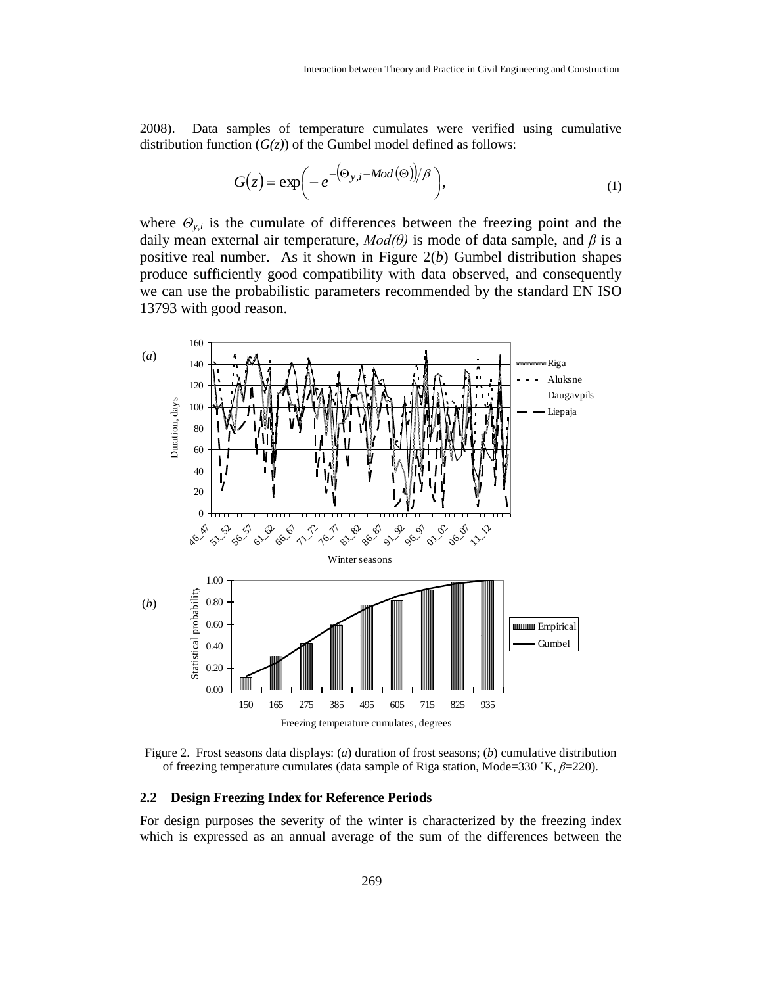2008). Data samples of temperature cumulates were verified using cumulative distribution function  $(G(z))$  of the Gumbel model defined as follows:

$$
G(z) = \exp\left(-e^{-(\Theta_{y,i} - Mod(\Theta))/\beta}\right),\tag{1}
$$

where  $\Theta_{y,i}$  is the cumulate of differences between the freezing point and the daily mean external air temperature, *Mod(θ)* is mode of data sample, and *β* is a positive real number. As it shown in Figure 2(*b*) Gumbel distribution shapes produce sufficiently good compatibility with data observed, and consequently we can use the probabilistic parameters recommended by the standard EN ISO 13793 with good reason.



Figure 2. Frost seasons data displays: (*a*) duration of frost seasons; (*b*) cumulative distribution of freezing temperature cumulates (data sample of Riga station, Mode=330 ˚K, *β*=220).

#### **2.2 Design Freezing Index for Reference Periods**

For design purposes the severity of the winter is characterized by the freezing index which is expressed as an annual average of the sum of the differences between the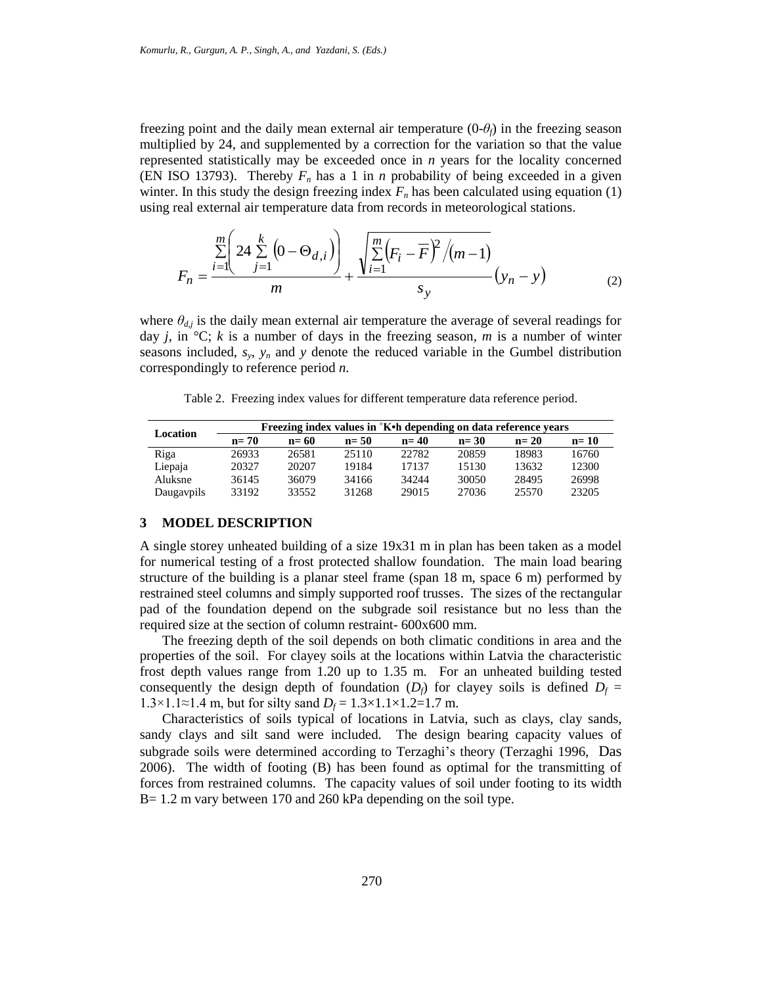freezing point and the daily mean external air temperature  $(0-\theta_f)$  in the freezing season multiplied by 24, and supplemented by a correction for the variation so that the value represented statistically may be exceeded once in *n* years for the locality concerned (EN ISO 13793). Thereby  $F_n$  has a 1 in *n* probability of being exceeded in a given winter. In this study the design freezing index  $F<sub>n</sub>$  has been calculated using equation (1) using real external air temperature data from records in meteorological stations.

$$
F_n = \frac{\sum_{i=1}^{m} \left( 24 \sum_{j=1}^{k} \left( 0 - \Theta_{d,i} \right) \right)}{m} + \frac{\sqrt{\sum_{i=1}^{m} \left( F_i - \overline{F} \right)^2 / (m-1)}}{s_y} (y_n - y)
$$
(2)

where  $\theta_{d,j}$  is the daily mean external air temperature the average of several readings for day *j*, in  ${}^{\circ}C$ ; *k* is a number of days in the freezing season, *m* is a number of winter seasons included,  $s_y$ ,  $y_n$  and  $y$  denote the reduced variable in the Gumbel distribution correspondingly to reference period *n*.

Table 2. Freezing index values for different temperature data reference period.

| Location   | Freezing index values in 'K. h depending on data reference years |        |        |        |        |        |        |  |  |  |
|------------|------------------------------------------------------------------|--------|--------|--------|--------|--------|--------|--|--|--|
|            | $n=70$                                                           | $n=60$ | $n=50$ | $n=40$ | $n=30$ | $n=20$ | $n=10$ |  |  |  |
| Riga       | 26933                                                            | 26581  | 25110  | 22782  | 20859  | 18983  | 16760  |  |  |  |
| Liepaja    | 20327                                                            | 20207  | 19184  | 17137  | 15130  | 13632  | 12300  |  |  |  |
| Aluksne    | 36145                                                            | 36079  | 34166  | 34244  | 30050  | 28495  | 26998  |  |  |  |
| Daugaypils | 33192                                                            | 33552  | 31268  | 29015  | 27036  | 25570  | 23205  |  |  |  |

#### **3 MODEL DESCRIPTION**

A single storey unheated building of a size 19x31 m in plan has been taken as a model for numerical testing of a frost protected shallow foundation. The main load bearing structure of the building is a planar steel frame (span 18 m, space 6 m) performed by restrained steel columns and simply supported roof trusses. The sizes of the rectangular pad of the foundation depend on the subgrade soil resistance but no less than the required size at the section of column restraint- 600x600 mm.

The freezing depth of the soil depends on both climatic conditions in area and the properties of the soil. For clayey soils at the locations within Latvia the characteristic frost depth values range from 1.20 up to 1.35 m. For an unheated building tested consequently the design depth of foundation  $(D_f)$  for clayey soils is defined  $D_f$  = 1.3×1.1≈1.4 m, but for silty sand *D*<sup>*f*</sup> = 1.3×1.1×1.2=1.7 m.

Characteristics of soils typical of locations in Latvia, such as clays, clay sands, sandy clays and silt sand were included. The design bearing capacity values of subgrade soils were determined according to Terzaghi's theory (Terzaghi 1996, Das 2006). The width of footing (B) has been found as optimal for the transmitting of forces from restrained columns. The capacity values of soil under footing to its width B = 1.2 m vary between 170 and 260 kPa depending on the soil type.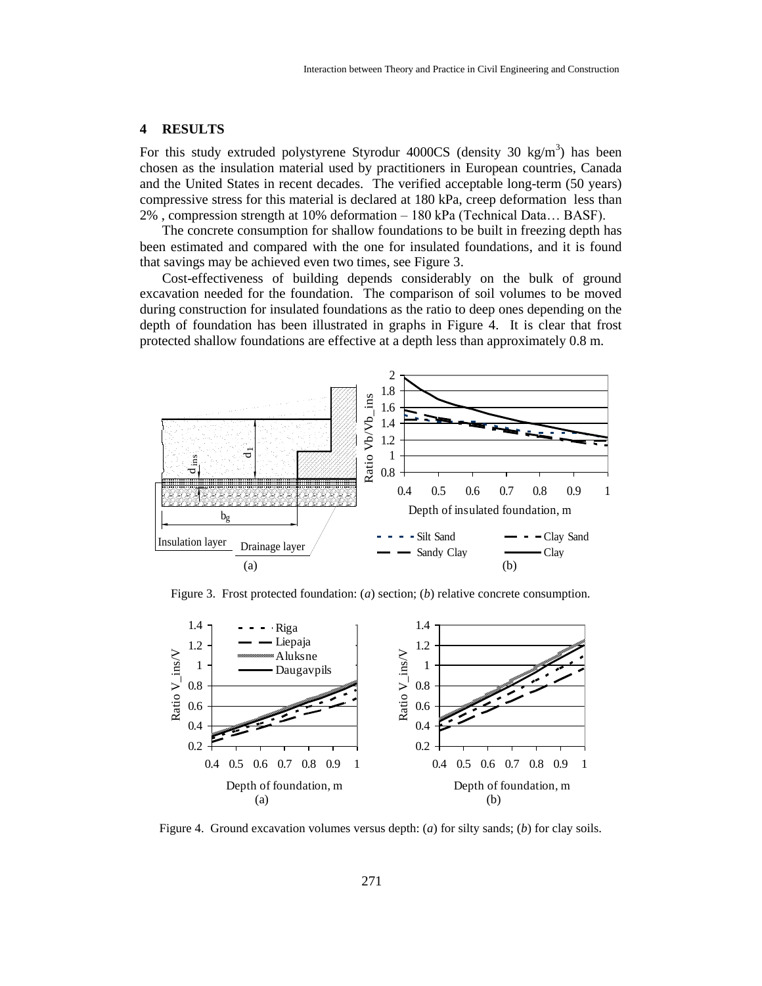# **4 RESULTS**

For this study extruded polystyrene Styrodur 4000CS (density 30 kg/m<sup>3</sup>) has been chosen as the insulation material used by practitioners in European countries, Canada and the United States in recent decades. The verified acceptable long-term (50 years) compressive stress for this material is declared at 180 kPa, creep deformation less than 2% , compression strength at 10% deformation – 180 kPa (Technical Data… BASF).

The concrete consumption for shallow foundations to be built in freezing depth has been estimated and compared with the one for insulated foundations, and it is found that savings may be achieved even two times, see Figure 3.

Cost-effectiveness of building depends considerably on the bulk of ground excavation needed for the foundation. The comparison of soil volumes to be moved during construction for insulated foundations as the ratio to deep ones depending on the depth of foundation has been illustrated in graphs in Figure 4. It is clear that frost protected shallow foundations are effective at a depth less than approximately 0.8 m.



Figure 3. Frost protected foundation: (*a*) section; (*b*) relative concrete consumption.



Figure 4. Ground excavation volumes versus depth: (*a*) for silty sands; (*b*) for clay soils.